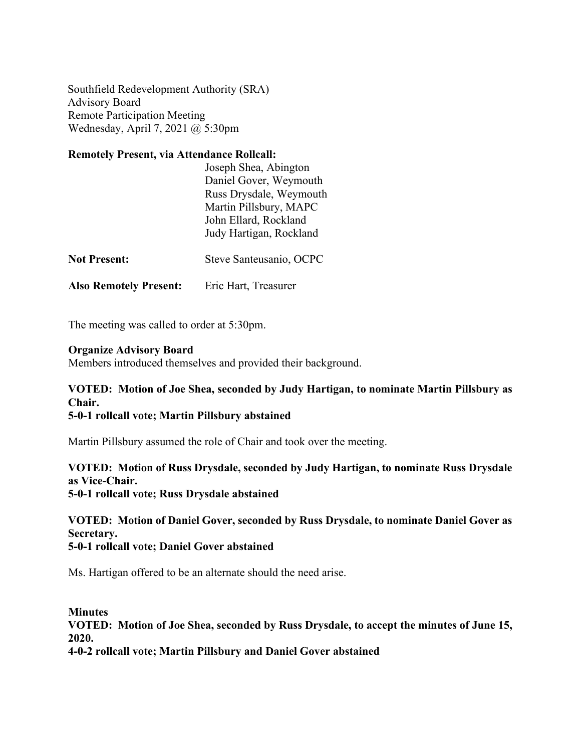Southfield Redevelopment Authority (SRA) Advisory Board Remote Participation Meeting Wednesday, April 7, 2021 @ 5:30pm

# **Remotely Present, via Attendance Rollcall:**

|                               | Joseph Shea, Abington   |
|-------------------------------|-------------------------|
|                               | Daniel Gover, Weymouth  |
|                               | Russ Drysdale, Weymouth |
|                               | Martin Pillsbury, MAPC  |
|                               | John Ellard, Rockland   |
|                               | Judy Hartigan, Rockland |
| <b>Not Present:</b>           | Steve Santeusanio, OCPC |
| <b>Also Remotely Present:</b> | Eric Hart, Treasurer    |

The meeting was called to order at 5:30pm.

#### **Organize Advisory Board**

Members introduced themselves and provided their background.

### **VOTED: Motion of Joe Shea, seconded by Judy Hartigan, to nominate Martin Pillsbury as Chair.**

#### **5-0-1 rollcall vote; Martin Pillsbury abstained**

Martin Pillsbury assumed the role of Chair and took over the meeting.

#### **VOTED: Motion of Russ Drysdale, seconded by Judy Hartigan, to nominate Russ Drysdale as Vice-Chair. 5-0-1 rollcall vote; Russ Drysdale abstained**

## **VOTED: Motion of Daniel Gover, seconded by Russ Drysdale, to nominate Daniel Gover as Secretary.**

#### **5-0-1 rollcall vote; Daniel Gover abstained**

Ms. Hartigan offered to be an alternate should the need arise.

**Minutes VOTED: Motion of Joe Shea, seconded by Russ Drysdale, to accept the minutes of June 15, 2020. 4-0-2 rollcall vote; Martin Pillsbury and Daniel Gover abstained**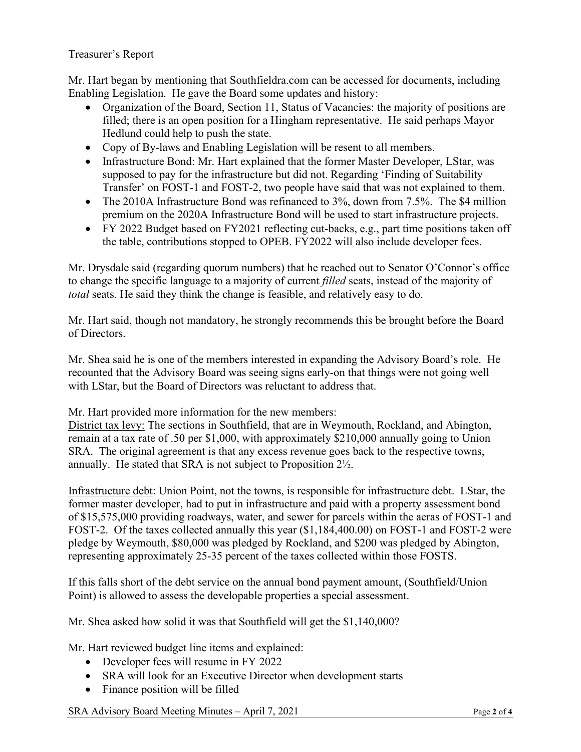#### Treasurer's Report

Mr. Hart began by mentioning that Southfieldra.com can be accessed for documents, including Enabling Legislation. He gave the Board some updates and history:

- Organization of the Board, Section 11, Status of Vacancies: the majority of positions are filled; there is an open position for a Hingham representative. He said perhaps Mayor Hedlund could help to push the state.
- Copy of By-laws and Enabling Legislation will be resent to all members.
- Infrastructure Bond: Mr. Hart explained that the former Master Developer, LStar, was supposed to pay for the infrastructure but did not. Regarding 'Finding of Suitability Transfer' on FOST-1 and FOST-2, two people have said that was not explained to them.
- The 2010A Infrastructure Bond was refinanced to 3%, down from 7.5%. The \$4 million premium on the 2020A Infrastructure Bond will be used to start infrastructure projects.
- FY 2022 Budget based on FY2021 reflecting cut-backs, e.g., part time positions taken off the table, contributions stopped to OPEB. FY2022 will also include developer fees.

Mr. Drysdale said (regarding quorum numbers) that he reached out to Senator O'Connor's office to change the specific language to a majority of current *filled* seats, instead of the majority of *total* seats. He said they think the change is feasible, and relatively easy to do.

Mr. Hart said, though not mandatory, he strongly recommends this be brought before the Board of Directors.

Mr. Shea said he is one of the members interested in expanding the Advisory Board's role. He recounted that the Advisory Board was seeing signs early-on that things were not going well with LStar, but the Board of Directors was reluctant to address that.

Mr. Hart provided more information for the new members:

District tax levy: The sections in Southfield, that are in Weymouth, Rockland, and Abington, remain at a tax rate of .50 per \$1,000, with approximately \$210,000 annually going to Union SRA. The original agreement is that any excess revenue goes back to the respective towns, annually. He stated that SRA is not subject to Proposition 2½.

Infrastructure debt: Union Point, not the towns, is responsible for infrastructure debt. LStar, the former master developer, had to put in infrastructure and paid with a property assessment bond of \$15,575,000 providing roadways, water, and sewer for parcels within the aeras of FOST-1 and FOST-2. Of the taxes collected annually this year (\$1,184,400.00) on FOST-1 and FOST-2 were pledge by Weymouth, \$80,000 was pledged by Rockland, and \$200 was pledged by Abington, representing approximately 25-35 percent of the taxes collected within those FOSTS.

If this falls short of the debt service on the annual bond payment amount, (Southfield/Union Point) is allowed to assess the developable properties a special assessment.

Mr. Shea asked how solid it was that Southfield will get the \$1,140,000?

Mr. Hart reviewed budget line items and explained:

- Developer fees will resume in FY 2022
- SRA will look for an Executive Director when development starts
- Finance position will be filled

SRA Advisory Board Meeting Minutes – April 7, 2021 Page 2 of 4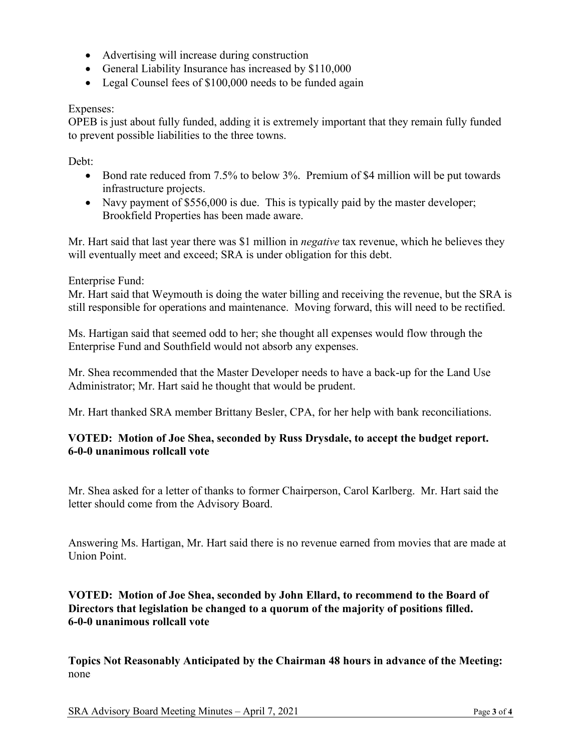- Advertising will increase during construction
- General Liability Insurance has increased by \$110,000
- Legal Counsel fees of \$100,000 needs to be funded again

#### Expenses:

OPEB is just about fully funded, adding it is extremely important that they remain fully funded to prevent possible liabilities to the three towns.

Debt:

- Bond rate reduced from 7.5% to below 3%. Premium of \$4 million will be put towards infrastructure projects.
- Navy payment of \$556,000 is due. This is typically paid by the master developer; Brookfield Properties has been made aware.

Mr. Hart said that last year there was \$1 million in *negative* tax revenue, which he believes they will eventually meet and exceed; SRA is under obligation for this debt.

Enterprise Fund:

Mr. Hart said that Weymouth is doing the water billing and receiving the revenue, but the SRA is still responsible for operations and maintenance. Moving forward, this will need to be rectified.

Ms. Hartigan said that seemed odd to her; she thought all expenses would flow through the Enterprise Fund and Southfield would not absorb any expenses.

Mr. Shea recommended that the Master Developer needs to have a back-up for the Land Use Administrator; Mr. Hart said he thought that would be prudent.

Mr. Hart thanked SRA member Brittany Besler, CPA, for her help with bank reconciliations.

#### **VOTED: Motion of Joe Shea, seconded by Russ Drysdale, to accept the budget report. 6-0-0 unanimous rollcall vote**

Mr. Shea asked for a letter of thanks to former Chairperson, Carol Karlberg. Mr. Hart said the letter should come from the Advisory Board.

Answering Ms. Hartigan, Mr. Hart said there is no revenue earned from movies that are made at Union Point.

**VOTED: Motion of Joe Shea, seconded by John Ellard, to recommend to the Board of Directors that legislation be changed to a quorum of the majority of positions filled. 6-0-0 unanimous rollcall vote**

**Topics Not Reasonably Anticipated by the Chairman 48 hours in advance of the Meeting:** none